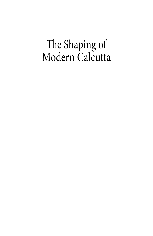## The Shaping of Modern Calcutta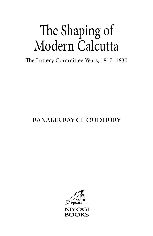# The Shaping of Modern Calcutta

The Lottery Committee Years, 1817–1830

### **Ranabir Ray Choudhury**

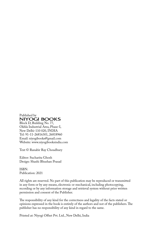Published by<br>NIYOGI BOOKS Block D, Building No. 77,

Okhla Industrial Area, Phase-I, New Delhi-110 020, INDIA Tel: 91-11-26816301, 26818960 Email: niyogibooks@gmail.com Website: www.niyogibooksindia.com

Text © Ranabir Ray Choudhury

Editor: Sucharita Ghosh Design: Shashi Bhushan Prasad

ISBN: Publication: 2021

All rights are reserved. No part of this publication may be reproduced or transmitted in any form or by any means, electronic or mechanical, including photocopying, recording or by any information storage and retrieval system without prior written permission and consent of the Publisher.

The responsibility of any kind for the correctness and legality of the facts stated or opinions expressed in the book is entirely of the authors and not of the publishers. The publisher has no responsibility of any kind in regard to the same.

Printed at: Niyogi Offset Pvt. Ltd., New Delhi, India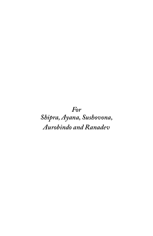For Shipra, Ayana, Sushovona, Aurobindo and Ranadev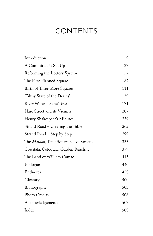## **CONTENTS**

| Introduction                          | 9   |
|---------------------------------------|-----|
| A Committee is Set Up                 | 27  |
| Reforming the Lottery System          | 57  |
| The First Planned Square              | 87  |
| Birth of Three More Squares           | 111 |
| 'Filthy State of the Drains'          | 139 |
| River Water for the Town              | 171 |
| Hare Street and its Vicinity          | 207 |
| Henry Shakespear's Minutes            | 239 |
| Strand Road – Clearing the Table      | 265 |
| Strand Road - Step by Step            | 299 |
| The Maidan, Tank Square, Clive Street | 335 |
| Cossitala, Colootala, Garden Reach    | 379 |
| The Land of William Camac             | 415 |
| Epilogue                              | 440 |
| Endnotes                              | 458 |
| Glossary                              | 500 |
| Bibliography                          | 503 |
| Photo Credits                         | 506 |
| Acknowledgements                      | 507 |
| Index                                 | 508 |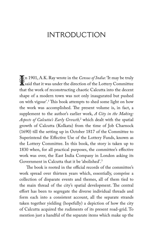## **INTRODUCTION**

**If** n 1901, A.K. Ray wrote in the *Census of India*: 'It may be truly<br>It's said that it was under the direction of the Lottery Committee said that it was under the direction of the Lottery Committee that the work of reconstructing chaotic Calcutta into the decent shape of a modern town was not only inaugurated but pushed on with vigour'.1 This book attempts to shed some light on how the work was accomplished. The present volume is, in fact, a supplement to the author's earlier work, *A City in the Making: Aspects of Calcutta's Early Growth,*<sup>2</sup> which dealt with the spatial growth of Calcutta (Kolkata) from the time of Job Charnock (1690) till the setting up in October 1817 of the Committee to Superintend the Effective Use of the Lottery Funds, known as the Lottery Committee. In this book, the story is taken up to 1830 when, for all practical purposes, the committee's effective work was over, the East India Company in London asking its Government in Calcutta that it be 'abolished'.3

The book is rooted in the official records of the committee's work spread over thirteen years which, essentially, comprise a collection of disparate events and themes, all of them tied to the main thread of the city's spatial development. The central effort has been to segregate the diverse individual threads and form each into a consistent account, all the separate strands taken together yielding (hopefully) a depiction of how the city of Calcutta acquired the rudiments of its present road-grid. To mention just a handful of the separate items which make up the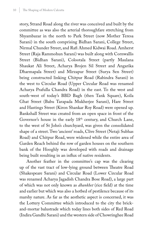story, Strand Road along the river was conceived and built by the committee as was also the arterial thoroughfare stretching from Shyambazar in the north to Park Street (now Mother Teresa Sarani) in the south comprising Bidhan Sarani, College Street, Nirmal Chunder Street, and Rafi Ahmed Kidwai Road. Amherst Street (Raja Rammohun Sarani) was built along with Cornwallis Street (Bidhan Sarani), Colootala Street (partly Maulana Shaukat Ali Street, Acharya Brojen Sil Street and Angarika Dharmapala Street) and Mirzapur Street (Surya Sen Street) being constructed linking Chitpur Road (Rabindra Sarani) in the west to Circular Road (Upper Circular Road was renamed Acharya Prafulla Chandra Road) in the east. To the west and south-west of today's BBD Bagh (then Tank Square), Koila Ghat Street (Babu Tarapada Mukherjee Sarani), Hare Street and Hastings Street (Kiron Shankar Roy Road) were opened up. Bankshall Street was created from an open space in front of the Governor's house in the early 18<sup>th</sup> century, and Church Lane, to the west of St John's churchyard, was given the consolidated shape of a street. Two 'ancient' roads, Clive Street (Netaji Subhas Road) and Chitpur Road, were widened while the entire area of Garden Reach behind the row of garden houses on the southern bank of the Hooghly was developed with roads and drainage being built resulting in an influx of native residents.

Another feather in the committee's cap was the clearing up of the vast tract of low-lying ground between Theatre Road (Shakespeare Sarani) and Circular Road (Lower Circular Road was renamed Acharya Jagadish Chandra Bose Road), a large part of which was not only known as *dhankhet* (rice field) at the time and earlier but which was also a hotbed of pestilence because of its marshy nature. As far as the aesthetic aspect is concerned, it was the Lottery Committee which introduced to the city the brickand-mortar balustrade which today lines both sides of Red Road (Indira Gandhi Sarani) and the western side of Chowringhee Road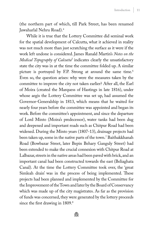(the northern part of which, till Park Street, has been renamed Jawaharlal Nehru Road).4

While it is true that the Lottery Committee did seminal work for the spatial development of Calcutta, what it achieved in reality was not much more than just scratching the surface as it were if the work left undone is considered. James Ranald Martin's *Notes on the Medical Topography of Calcutta*<sup>5</sup> indicates clearly the unsatisfactory state the city was in at the time the committee folded up. A similar picture is portrayed by F.P. Strong at around the same time.<sup>6</sup> Even so, the question arises: why were the measures taken by the committee to improve the city not taken earlier? After all, the Earl of Moira (created the Marquess of Hastings in late 1816), under whose aegis the Lottery Committee was set up, had assumed the Governor-Generalship in 1813, which means that he waited for nearly four years before the committee was appointed and began its work. Before the committee's appointment, and since the departure of Lord Minto (Moira's predecessor), water tanks had been dug and deepened and important roads such as Chitpur Road had been widened. During the Minto years (1807-13), drainage projects had been taken up, some in the native parts of the town.7 Baithakkhanah Road (Bowbazar Street, later Bepin Behary Ganguly Street) had been extended to make the crucial connexion with Chitpur Road at Lalbazar, streets in the native areas had been paved with brick, and an important canal had been constructed towards the east (Beliaghata Canal). At the time the Lottery Committee took over, the 'great Simleah drain' was in the process of being implemented. These projects had been planned and implemented by the Committee for the Improvement of the Town and later by the Board of Conservancy which was made up of the city magistrates. As far as the provision of funds was concerned, they were generated by the lottery proceeds since the first drawing in 1809.<sup>8</sup>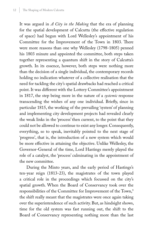It was argued in *A City in the Making* that the era of planning for the spatial development of Calcutta (the effective regulation of space) had begun with Lord Wellesley's appointment of his Committee for the Improvement of the Town in 1803. There were more reasons than one why Wellesley (1798-1805) penned his 1803 minute and appointed the committee, both steps taken together representing a quantum shift in the story of Calcutta's growth. In its essence, however, both steps were nothing more than the decision of a single individual, the contemporary records holding no indication whatever of a collective realisation that the need for tackling the city's spatial drawbacks had reached a critical point. It was different with the Lottery Committee's appointment in 1817, the step being more in the nature of a *systemic* response transcending the wishes of any one individual. Briefly, since in particular 1815, the working of the prevailing 'system' of planning and implementing city development projects had revealed clearly the weak links in the 'process' then current, to the point that they could not be allowed to continue to exist any longer. Consequently, everything, so to speak, inevitably pointed to the next stage of 'progress', that is, the introduction of a new system which would be more effective in attaining the objective. Unlike Wellesley, the Governor-General of the time, Lord Hastings merely played the role of a catalyst, the 'process' culminating in the appointment of the new committee.

During the Minto years, and the early period of Hastings's ten-year reign (1813-23), the magistrates of the town played a critical role in the proceedings which focussed on the city's spatial growth. When the Board of Conservancy took over the responsibilities of the Committee for Improvement of the Town,<sup>9</sup> the shift really meant that the magistrates were once again taking over the superintendence of such activity. But, as hindsight shows, time for the old system was fast running out, the shift to the Board of Conservancy representing nothing more than the last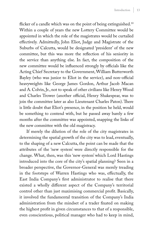flicker of a candle which was on the point of being extinguished.<sup>10</sup> Within a couple of years the new Lottery Committee would be appointed in which the role of the magistrates would be curtailed effectively. Admittedly, John Eliot, Judge and Magistrate of the Suburbs of Calcutta, would be designated 'president' of the new committee, but this was more the reflection of his seniority in the service than anything else. In fact, the composition of the new committee would be influenced strongly by officials like the Acting Chief Secretary to the Government, William Butterworth Bayley (who was junior to Eliot in the service), and non-official heavyweights like George James Gordon, Arthur Jacob Macan and A. Colvin, Jr., not to speak of other civilians like Henry Wood and Charles Trower (another official, Henry Shakespear, was to join the committee later as also Lieutenant Charles Paton). There is little doubt that Eliot's presence, in the position he held, would be something to contend with, but he passed away barely a few months after the committee was appointed, snapping the links of the new committee with the old magistracy.

If merely the dilution of the role of the city magistrates in determining the spatial growth of the city was to lead, eventually, to the shaping of a new Calcutta, the point can be made that the attributes of the 'new system' were directly responsible for the change. What, then, was this 'new system' which Lord Hastings introduced into the core of the city's spatial planning? Seen in a broader perspective, the Governor-General was merely treading in the footsteps of Warren Hastings who was, effectually, the East India Company's first administrator to realise that there existed a wholly different aspect of the Company's territorial control other than just maximising commercial profit. Basically, it involved the fundamental transition of the Company's India administration from the mindset of a trader fixated on making the highest profit in given circumstances to that of a responsible, even conscientious, political manager who had to keep in mind,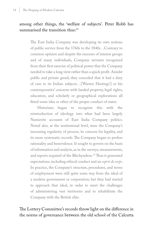#### among other things, the 'welfare of subjects'. Peter Robb has summarised the transition thus:<sup>11</sup>

The East India Company was developing its own notions of public service from the 1760s to the 1840s…Contrary to common opinion and despite the excesses of interest groups and of many individuals, Company servants recognised from their first exercise of political power that the Company needed to take a long view rather than a quick profit. Amidst public and private greed, they conceded that it had a duty of care to its Indian subjects…[Warren Hastings'] or his contemporaries' concerns with landed property, legal rights, education, and scholarly or geographical explorations all fitted some idea or other of the proper conduct of states.

Historians began to recognise this with the reintroduction of ideology into what had been largely Namierite accounts of East India Company politics. Noted also, at the institutional level, were the Company's increasing regularity of process, its concern for legality, and its more systematic records. The Company began to profess rationality and benevolence. It sought to govern on the basis of information and analysis, as in the surveys, measurements, and reports required of the Blechyndens.12 Thus it generated expectations, including ethical conduct and an *esprit de corps*. In practice, the Company's structure, procedures, and terms of employment were still quite some way from the ideal of a modern government or corporation; but they had started to approach that ideal, in order to meet the challenges of administering vast territories and to rehabilitate the Company with the British elite.

The Lottery Committee's records throw light on the difference in the norms of governance between the old school of the Calcutta